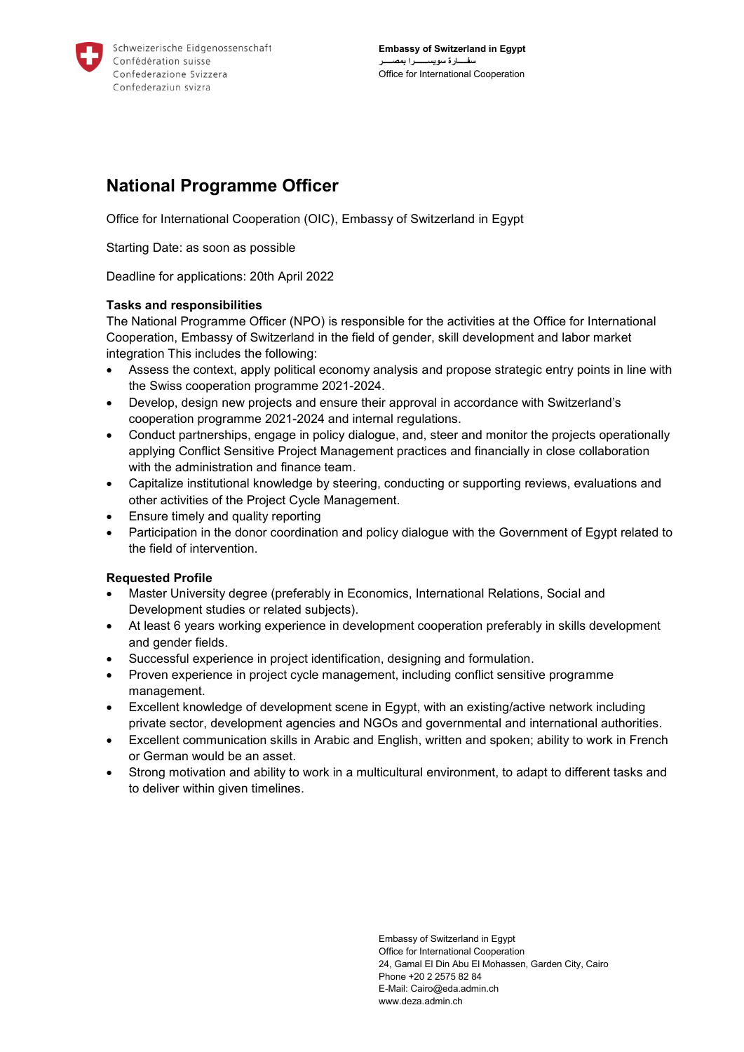

# **National Programme Officer**

Office for International Cooperation (OIC), Embassy of Switzerland in Egypt

Starting Date: as soon as possible

Deadline for applications: 20th April 2022

## **Tasks and responsibilities**

The National Programme Officer (NPO) is responsible for the activities at the Office for International Cooperation, Embassy of Switzerland in the field of gender, skill development and labor market integration This includes the following:

- Assess the context, apply political economy analysis and propose strategic entry points in line with the Swiss cooperation programme 2021-2024.
- Develop, design new projects and ensure their approval in accordance with Switzerland's cooperation programme 2021-2024 and internal regulations.
- Conduct partnerships, engage in policy dialogue, and, steer and monitor the projects operationally applying Conflict Sensitive Project Management practices and financially in close collaboration with the administration and finance team.
- Capitalize institutional knowledge by steering, conducting or supporting reviews, evaluations and other activities of the Project Cycle Management.
- Ensure timely and quality reporting
- Participation in the donor coordination and policy dialogue with the Government of Egypt related to the field of intervention.

## **Requested Profile**

- Master University degree (preferably in Economics, International Relations, Social and Development studies or related subjects).
- At least 6 years working experience in development cooperation preferably in skills development and gender fields.
- Successful experience in project identification, designing and formulation.
- Proven experience in project cycle management, including conflict sensitive programme management.
- Excellent knowledge of development scene in Egypt, with an existing/active network including private sector, development agencies and NGOs and governmental and international authorities.
- Excellent communication skills in Arabic and English, written and spoken; ability to work in French or German would be an asset.
- Strong motivation and ability to work in a multicultural environment, to adapt to different tasks and to deliver within given timelines.